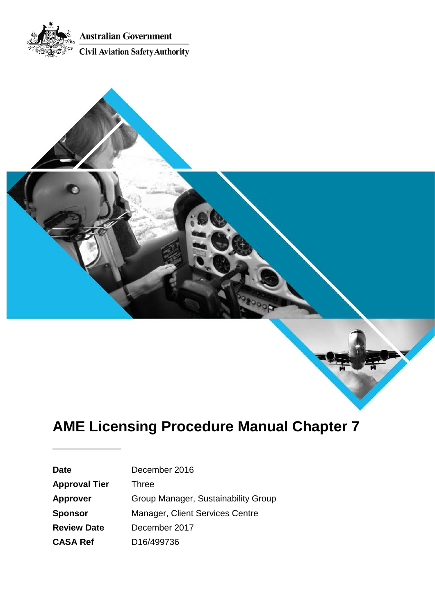



# **AME Licensing Procedure Manual Chapter 7**

| <b>Date</b>          | December 2016                       |
|----------------------|-------------------------------------|
| <b>Approval Tier</b> | <b>Three</b>                        |
| <b>Approver</b>      | Group Manager, Sustainability Group |
| <b>Sponsor</b>       | Manager, Client Services Centre     |
| <b>Review Date</b>   | December 2017                       |
| <b>CASA Ref</b>      | D <sub>16</sub> /499736             |
|                      |                                     |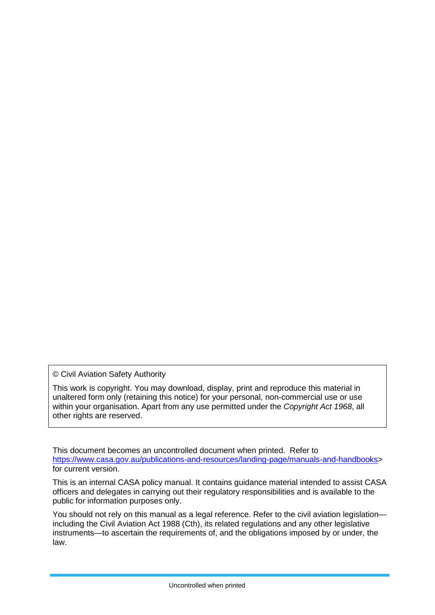© Civil Aviation Safety Authority

This work is copyright. You may download, display, print and reproduce this material in unaltered form only (retaining this notice) for your personal, non-commercial use or use within your organisation. Apart from any use permitted under the *Copyright Act 1968*, all other rights are reserved.

This document becomes an uncontrolled document when printed. Refer to [https://www.casa.gov.au/publications-and-resources/landing-page/manuals-and-handbooks>](https://www.casa.gov.au/publications-and-resources/landing-page/manuals-and-handbooks) for current version.

This is an internal CASA policy manual. It contains guidance material intended to assist CASA officers and delegates in carrying out their regulatory responsibilities and is available to the public for information purposes only.

You should not rely on this manual as a legal reference. Refer to the civil aviation legislation including the Civil Aviation Act 1988 (Cth), its related regulations and any other legislative instruments—to ascertain the requirements of, and the obligations imposed by or under, the law.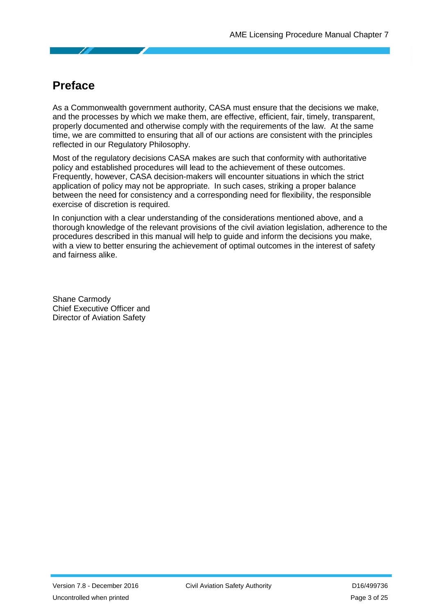## <span id="page-2-0"></span>**Preface**

As a Commonwealth government authority, CASA must ensure that the decisions we make, and the processes by which we make them, are effective, efficient, fair, timely, transparent, properly documented and otherwise comply with the requirements of the law. At the same time, we are committed to ensuring that all of our actions are consistent with the principles reflected in our Regulatory Philosophy.

Most of the regulatory decisions CASA makes are such that conformity with authoritative policy and established procedures will lead to the achievement of these outcomes. Frequently, however, CASA decision-makers will encounter situations in which the strict application of policy may not be appropriate. In such cases, striking a proper balance between the need for consistency and a corresponding need for flexibility, the responsible exercise of discretion is required.

In conjunction with a clear understanding of the considerations mentioned above, and a thorough knowledge of the relevant provisions of the civil aviation legislation, adherence to the procedures described in this manual will help to guide and inform the decisions you make, with a view to better ensuring the achievement of optimal outcomes in the interest of safety and fairness alike.

Shane Carmody Chief Executive Officer and Director of Aviation Safety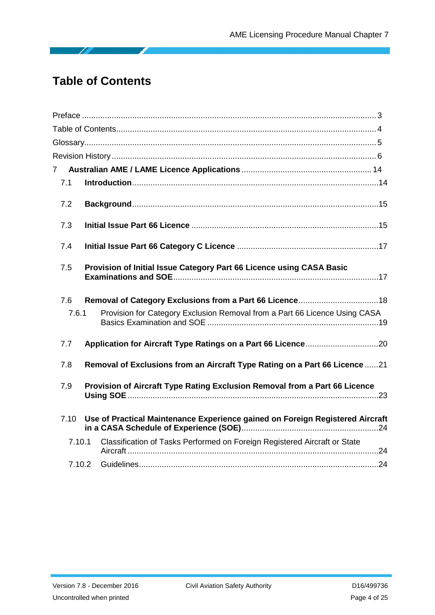## <span id="page-3-0"></span>**Table of Contents**

B

| 7.1    |                                                                               |  |
|--------|-------------------------------------------------------------------------------|--|
| 7.2    |                                                                               |  |
| 7.3    |                                                                               |  |
| 7.4    |                                                                               |  |
| 7.5    | Provision of Initial Issue Category Part 66 Licence using CASA Basic          |  |
| 7.6    |                                                                               |  |
| 7.6.1  | Provision for Category Exclusion Removal from a Part 66 Licence Using CASA    |  |
| 7.7    |                                                                               |  |
| 7.8    | Removal of Exclusions from an Aircraft Type Rating on a Part 66 Licence 21    |  |
| 7.9    | Provision of Aircraft Type Rating Exclusion Removal from a Part 66 Licence    |  |
| 7.10   | Use of Practical Maintenance Experience gained on Foreign Registered Aircraft |  |
| 7.10.1 | Classification of Tasks Performed on Foreign Registered Aircraft or State     |  |
| 7.10.2 |                                                                               |  |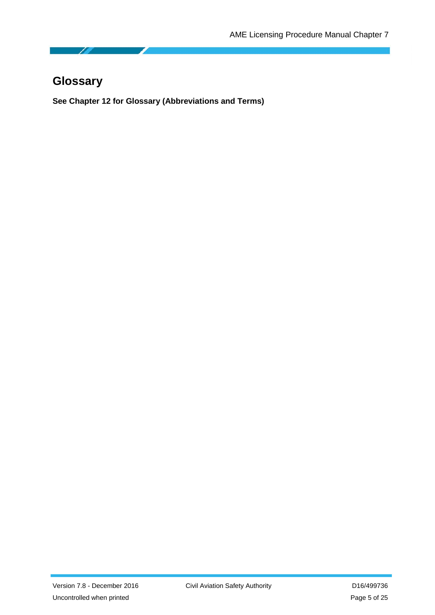## <span id="page-4-0"></span>**Glossary**

**See Chapter 12 for Glossary (Abbreviations and Terms)**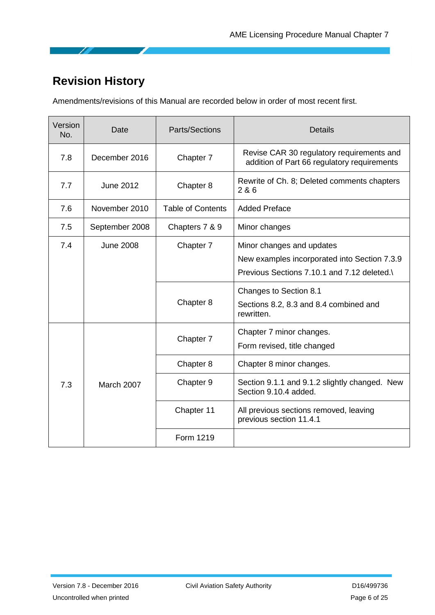## <span id="page-5-0"></span>**Revision History**

Amendments/revisions of this Manual are recorded below in order of most recent first.

| Version<br>No. | Date             | <b>Parts/Sections</b>    | <b>Details</b>                                                                                                          |
|----------------|------------------|--------------------------|-------------------------------------------------------------------------------------------------------------------------|
| 7.8            | December 2016    | Chapter 7                | Revise CAR 30 regulatory requirements and<br>addition of Part 66 regulatory requirements                                |
| 7.7            | <b>June 2012</b> | Chapter 8                | Rewrite of Ch. 8; Deleted comments chapters<br>2 & 6                                                                    |
| 7.6            | November 2010    | <b>Table of Contents</b> | <b>Added Preface</b>                                                                                                    |
| 7.5            | September 2008   | Chapters 7 & 9           | Minor changes                                                                                                           |
| 7.4            | <b>June 2008</b> | Chapter 7                | Minor changes and updates<br>New examples incorporated into Section 7.3.9<br>Previous Sections 7.10.1 and 7.12 deleted. |
|                |                  | Chapter 8                | Changes to Section 8.1<br>Sections 8.2, 8.3 and 8.4 combined and<br>rewritten.                                          |
|                |                  | Chapter 7                | Chapter 7 minor changes.<br>Form revised, title changed                                                                 |
| 7.3            | March 2007       | Chapter 8                | Chapter 8 minor changes.                                                                                                |
|                |                  | Chapter 9                | Section 9.1.1 and 9.1.2 slightly changed. New<br>Section 9.10.4 added.                                                  |
|                |                  | Chapter 11               | All previous sections removed, leaving<br>previous section 11.4.1                                                       |
|                |                  | Form 1219                |                                                                                                                         |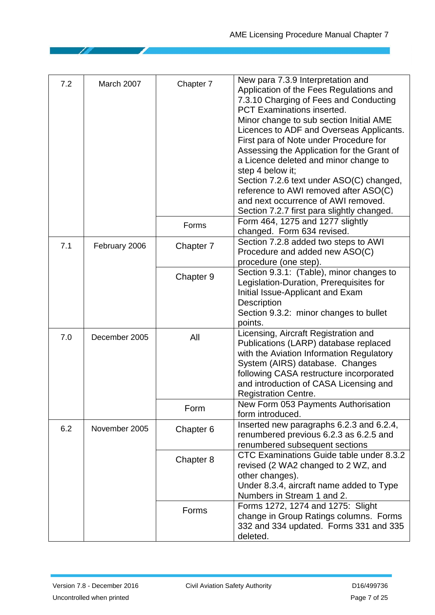| 7.2 | March 2007    | Chapter 7 | New para 7.3.9 Interpretation and<br>Application of the Fees Regulations and<br>7.3.10 Charging of Fees and Conducting<br><b>PCT Examinations inserted.</b><br>Minor change to sub section Initial AME<br>Licences to ADF and Overseas Applicants.<br>First para of Note under Procedure for<br>Assessing the Application for the Grant of<br>a Licence deleted and minor change to<br>step 4 below it;<br>Section 7.2.6 text under ASO(C) changed,<br>reference to AWI removed after ASO(C)<br>and next occurrence of AWI removed.<br>Section 7.2.7 first para slightly changed. |
|-----|---------------|-----------|-----------------------------------------------------------------------------------------------------------------------------------------------------------------------------------------------------------------------------------------------------------------------------------------------------------------------------------------------------------------------------------------------------------------------------------------------------------------------------------------------------------------------------------------------------------------------------------|
|     |               | Forms     | Form 464, 1275 and 1277 slightly<br>changed. Form 634 revised.                                                                                                                                                                                                                                                                                                                                                                                                                                                                                                                    |
| 7.1 | February 2006 | Chapter 7 | Section 7.2.8 added two steps to AWI<br>Procedure and added new ASO(C)<br>procedure (one step).                                                                                                                                                                                                                                                                                                                                                                                                                                                                                   |
|     |               | Chapter 9 | Section 9.3.1: (Table), minor changes to<br>Legislation-Duration, Prerequisites for<br>Initial Issue-Applicant and Exam<br>Description<br>Section 9.3.2: minor changes to bullet<br>points.                                                                                                                                                                                                                                                                                                                                                                                       |
| 7.0 | December 2005 | All       | Licensing, Aircraft Registration and<br>Publications (LARP) database replaced<br>with the Aviation Information Regulatory<br>System (AIRS) database. Changes<br>following CASA restructure incorporated<br>and introduction of CASA Licensing and<br><b>Registration Centre.</b>                                                                                                                                                                                                                                                                                                  |
|     |               | Form      | New Form 053 Payments Authorisation<br>form introduced.                                                                                                                                                                                                                                                                                                                                                                                                                                                                                                                           |
| 6.2 | November 2005 | Chapter 6 | Inserted new paragraphs 6.2.3 and 6.2.4,<br>renumbered previous 6.2.3 as 6.2.5 and<br>renumbered subsequent sections                                                                                                                                                                                                                                                                                                                                                                                                                                                              |
|     |               | Chapter 8 | CTC Examinations Guide table under 8.3.2<br>revised (2 WA2 changed to 2 WZ, and<br>other changes).<br>Under 8.3.4, aircraft name added to Type<br>Numbers in Stream 1 and 2.                                                                                                                                                                                                                                                                                                                                                                                                      |
|     |               | Forms     | Forms 1272, 1274 and 1275: Slight<br>change in Group Ratings columns. Forms<br>332 and 334 updated. Forms 331 and 335<br>deleted.                                                                                                                                                                                                                                                                                                                                                                                                                                                 |

◢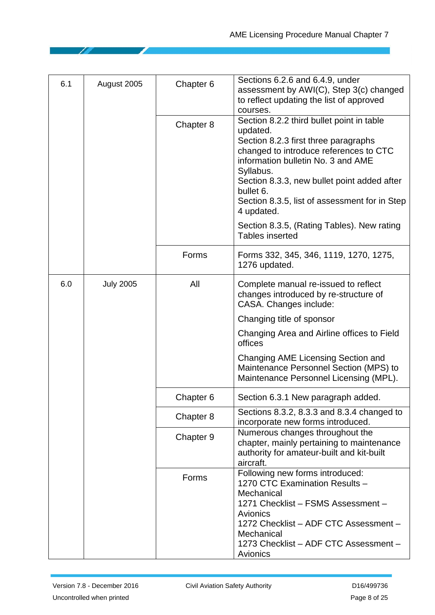| 6.1 | August 2005      | Chapter 6 | Sections 6.2.6 and 6.4.9, under<br>assessment by AWI(C), Step 3(c) changed<br>to reflect updating the list of approved<br>courses.                                                                                                                                                                                    |
|-----|------------------|-----------|-----------------------------------------------------------------------------------------------------------------------------------------------------------------------------------------------------------------------------------------------------------------------------------------------------------------------|
|     |                  | Chapter 8 | Section 8.2.2 third bullet point in table<br>updated.<br>Section 8.2.3 first three paragraphs<br>changed to introduce references to CTC<br>information bulletin No. 3 and AME<br>Syllabus.<br>Section 8.3.3, new bullet point added after<br>bullet 6.<br>Section 8.3.5, list of assessment for in Step<br>4 updated. |
|     |                  |           | Section 8.3.5, (Rating Tables). New rating<br><b>Tables inserted</b>                                                                                                                                                                                                                                                  |
|     |                  | Forms     | Forms 332, 345, 346, 1119, 1270, 1275,<br>1276 updated.                                                                                                                                                                                                                                                               |
| 6.0 | <b>July 2005</b> | All       | Complete manual re-issued to reflect<br>changes introduced by re-structure of<br>CASA. Changes include:                                                                                                                                                                                                               |
|     |                  |           | Changing title of sponsor                                                                                                                                                                                                                                                                                             |
|     |                  |           | Changing Area and Airline offices to Field<br>offices                                                                                                                                                                                                                                                                 |
|     |                  |           | Changing AME Licensing Section and<br>Maintenance Personnel Section (MPS) to<br>Maintenance Personnel Licensing (MPL).                                                                                                                                                                                                |
|     |                  | Chapter 6 | Section 6.3.1 New paragraph added.                                                                                                                                                                                                                                                                                    |
|     |                  | Chapter 8 | Sections 8.3.2, 8.3.3 and 8.3.4 changed to<br>incorporate new forms introduced.                                                                                                                                                                                                                                       |
|     |                  | Chapter 9 | Numerous changes throughout the<br>chapter, mainly pertaining to maintenance<br>authority for amateur-built and kit-built<br>aircraft.                                                                                                                                                                                |
|     |                  | Forms     | Following new forms introduced:<br>1270 CTC Examination Results -<br>Mechanical<br>1271 Checklist - FSMS Assessment -<br>Avionics<br>1272 Checklist - ADF CTC Assessment -<br>Mechanical<br>1273 Checklist - ADF CTC Assessment -<br>Avionics                                                                         |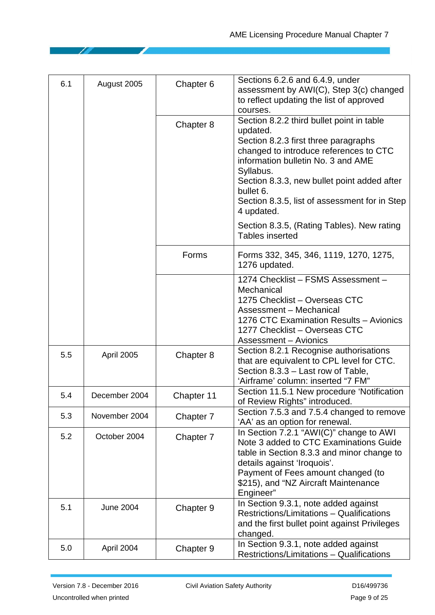| 6.1 | August 2005       | Chapter 6  | Sections 6.2.6 and 6.4.9, under<br>assessment by AWI(C), Step 3(c) changed<br>to reflect updating the list of approved<br>courses.                                                                                                                                                                                                                                                            |
|-----|-------------------|------------|-----------------------------------------------------------------------------------------------------------------------------------------------------------------------------------------------------------------------------------------------------------------------------------------------------------------------------------------------------------------------------------------------|
|     |                   | Chapter 8  | Section 8.2.2 third bullet point in table<br>updated.<br>Section 8.2.3 first three paragraphs<br>changed to introduce references to CTC<br>information bulletin No. 3 and AME<br>Syllabus.<br>Section 8.3.3, new bullet point added after<br>bullet 6.<br>Section 8.3.5, list of assessment for in Step<br>4 updated.<br>Section 8.3.5, (Rating Tables). New rating<br><b>Tables inserted</b> |
|     |                   | Forms      | Forms 332, 345, 346, 1119, 1270, 1275,<br>1276 updated.                                                                                                                                                                                                                                                                                                                                       |
|     |                   |            | 1274 Checklist - FSMS Assessment -<br>Mechanical<br>1275 Checklist - Overseas CTC<br>Assessment - Mechanical<br>1276 CTC Examination Results - Avionics<br>1277 Checklist - Overseas CTC<br><b>Assessment - Avionics</b>                                                                                                                                                                      |
| 5.5 | <b>April 2005</b> | Chapter 8  | Section 8.2.1 Recognise authorisations<br>that are equivalent to CPL level for CTC.<br>Section 8.3.3 – Last row of Table,<br>'Airframe' column: inserted "7 FM"                                                                                                                                                                                                                               |
| 5.4 | December 2004     | Chapter 11 | Section 11.5.1 New procedure 'Notification<br>of Review Rights" introduced.                                                                                                                                                                                                                                                                                                                   |
| 5.3 | November 2004     | Chapter 7  | Section 7.5.3 and 7.5.4 changed to remove<br>'AA' as an option for renewal.                                                                                                                                                                                                                                                                                                                   |
| 5.2 | October 2004      | Chapter 7  | In Section 7.2.1 "AWI(C)" change to AWI<br>Note 3 added to CTC Examinations Guide<br>table in Section 8.3.3 and minor change to<br>details against 'Iroquois'.<br>Payment of Fees amount changed (to<br>\$215), and "NZ Aircraft Maintenance<br>Engineer"                                                                                                                                     |
| 5.1 | <b>June 2004</b>  | Chapter 9  | In Section 9.3.1, note added against<br>Restrictions/Limitations - Qualifications<br>and the first bullet point against Privileges<br>changed.                                                                                                                                                                                                                                                |
| 5.0 | April 2004        | Chapter 9  | In Section 9.3.1, note added against<br>Restrictions/Limitations - Qualifications                                                                                                                                                                                                                                                                                                             |

◢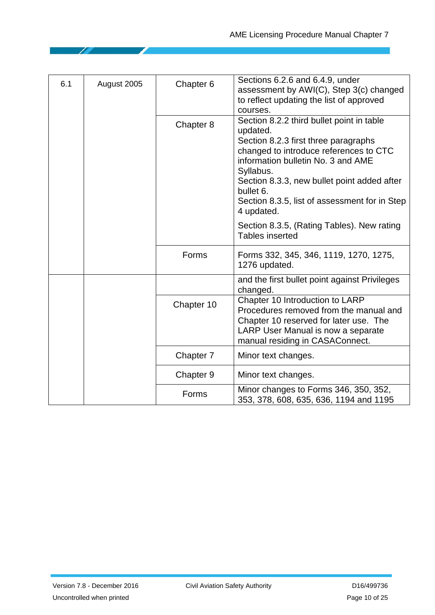| 6.1 | August 2005 | Chapter 6  | Sections 6.2.6 and 6.4.9, under<br>assessment by AWI(C), Step 3(c) changed<br>to reflect updating the list of approved<br>courses.                                                                                                                                                                                    |
|-----|-------------|------------|-----------------------------------------------------------------------------------------------------------------------------------------------------------------------------------------------------------------------------------------------------------------------------------------------------------------------|
|     |             | Chapter 8  | Section 8.2.2 third bullet point in table<br>updated.<br>Section 8.2.3 first three paragraphs<br>changed to introduce references to CTC<br>information bulletin No. 3 and AME<br>Syllabus.<br>Section 8.3.3, new bullet point added after<br>bullet 6.<br>Section 8.3.5, list of assessment for in Step<br>4 updated. |
|     |             |            | Section 8.3.5, (Rating Tables). New rating<br><b>Tables inserted</b>                                                                                                                                                                                                                                                  |
|     |             | Forms      | Forms 332, 345, 346, 1119, 1270, 1275,<br>1276 updated.                                                                                                                                                                                                                                                               |
|     |             |            | and the first bullet point against Privileges<br>changed.                                                                                                                                                                                                                                                             |
|     |             | Chapter 10 | Chapter 10 Introduction to LARP<br>Procedures removed from the manual and<br>Chapter 10 reserved for later use. The<br>LARP User Manual is now a separate<br>manual residing in CASAConnect.                                                                                                                          |
|     |             | Chapter 7  | Minor text changes.                                                                                                                                                                                                                                                                                                   |
|     |             | Chapter 9  | Minor text changes.                                                                                                                                                                                                                                                                                                   |
|     |             | Forms      | Minor changes to Forms 346, 350, 352,<br>353, 378, 608, 635, 636, 1194 and 1195                                                                                                                                                                                                                                       |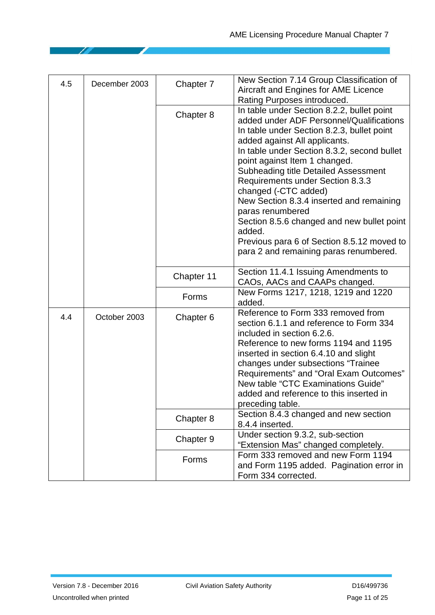| 4.5 | December 2003 | Chapter 7  | New Section 7.14 Group Classification of<br>Aircraft and Engines for AME Licence<br>Rating Purposes introduced.                                                                                                                                                                                                                                                                                                                                                                                                                                                                  |
|-----|---------------|------------|----------------------------------------------------------------------------------------------------------------------------------------------------------------------------------------------------------------------------------------------------------------------------------------------------------------------------------------------------------------------------------------------------------------------------------------------------------------------------------------------------------------------------------------------------------------------------------|
|     |               | Chapter 8  | In table under Section 8.2.2, bullet point<br>added under ADF Personnel/Qualifications<br>In table under Section 8.2.3, bullet point<br>added against All applicants.<br>In table under Section 8.3.2, second bullet<br>point against Item 1 changed.<br><b>Subheading title Detailed Assessment</b><br>Requirements under Section 8.3.3<br>changed (-CTC added)<br>New Section 8.3.4 inserted and remaining<br>paras renumbered<br>Section 8.5.6 changed and new bullet point<br>added.<br>Previous para 6 of Section 8.5.12 moved to<br>para 2 and remaining paras renumbered. |
|     |               | Chapter 11 | Section 11.4.1 Issuing Amendments to<br>CAOs, AACs and CAAPs changed.                                                                                                                                                                                                                                                                                                                                                                                                                                                                                                            |
|     |               | Forms      | New Forms 1217, 1218, 1219 and 1220<br>added.                                                                                                                                                                                                                                                                                                                                                                                                                                                                                                                                    |
| 4.4 | October 2003  | Chapter 6  | Reference to Form 333 removed from<br>section 6.1.1 and reference to Form 334<br>included in section 6.2.6.<br>Reference to new forms 1194 and 1195<br>inserted in section 6.4.10 and slight<br>changes under subsections "Trainee<br>Requirements" and "Oral Exam Outcomes"<br>New table "CTC Examinations Guide"<br>added and reference to this inserted in<br>preceding table.                                                                                                                                                                                                |
|     |               | Chapter 8  | Section 8.4.3 changed and new section<br>8.4.4 inserted.                                                                                                                                                                                                                                                                                                                                                                                                                                                                                                                         |
|     |               | Chapter 9  | Under section 9.3.2, sub-section<br>"Extension Mas" changed completely.                                                                                                                                                                                                                                                                                                                                                                                                                                                                                                          |
|     |               | Forms      | Form 333 removed and new Form 1194<br>and Form 1195 added. Pagination error in<br>Form 334 corrected.                                                                                                                                                                                                                                                                                                                                                                                                                                                                            |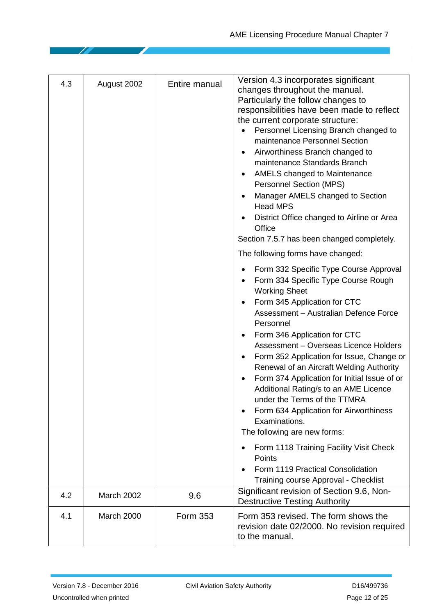| 4.3 | August 2002 | Entire manual | Version 4.3 incorporates significant<br>changes throughout the manual.<br>Particularly the follow changes to<br>responsibilities have been made to reflect<br>the current corporate structure:<br>Personnel Licensing Branch changed to<br>maintenance Personnel Section<br>Airworthiness Branch changed to<br>٠<br>maintenance Standards Branch<br><b>AMELS</b> changed to Maintenance<br>$\bullet$<br>Personnel Section (MPS)<br>Manager AMELS changed to Section<br><b>Head MPS</b><br>District Office changed to Airline or Area<br>Office<br>Section 7.5.7 has been changed completely.                                                                                                                                                                          |
|-----|-------------|---------------|-----------------------------------------------------------------------------------------------------------------------------------------------------------------------------------------------------------------------------------------------------------------------------------------------------------------------------------------------------------------------------------------------------------------------------------------------------------------------------------------------------------------------------------------------------------------------------------------------------------------------------------------------------------------------------------------------------------------------------------------------------------------------|
|     |             |               | The following forms have changed:<br>Form 332 Specific Type Course Approval<br>Form 334 Specific Type Course Rough<br><b>Working Sheet</b><br>Form 345 Application for CTC<br>Assessment - Australian Defence Force<br>Personnel<br>Form 346 Application for CTC<br>Assessment - Overseas Licence Holders<br>Form 352 Application for Issue, Change or<br>Renewal of an Aircraft Welding Authority<br>Form 374 Application for Initial Issue of or<br>Additional Rating/s to an AME Licence<br>under the Terms of the TTMRA<br>Form 634 Application for Airworthiness<br>Examinations.<br>The following are new forms:<br>Form 1118 Training Facility Visit Check<br>$\bullet$<br>Points<br>Form 1119 Practical Consolidation<br>Training course Approval - Checklist |
| 4.2 | March 2002  | 9.6           | Significant revision of Section 9.6, Non-<br><b>Destructive Testing Authority</b>                                                                                                                                                                                                                                                                                                                                                                                                                                                                                                                                                                                                                                                                                     |
| 4.1 | March 2000  | Form 353      | Form 353 revised. The form shows the<br>revision date 02/2000. No revision required<br>to the manual.                                                                                                                                                                                                                                                                                                                                                                                                                                                                                                                                                                                                                                                                 |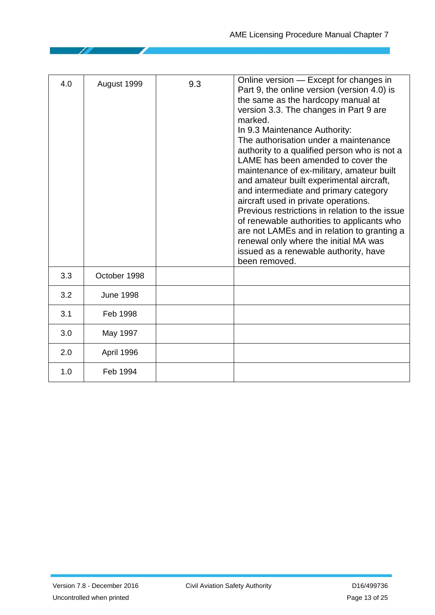| 4.0 | August 1999      | 9.3 | Online version - Except for changes in<br>Part 9, the online version (version 4.0) is<br>the same as the hardcopy manual at<br>version 3.3. The changes in Part 9 are<br>marked.<br>In 9.3 Maintenance Authority:<br>The authorisation under a maintenance<br>authority to a qualified person who is not a<br>LAME has been amended to cover the<br>maintenance of ex-military, amateur built<br>and amateur built experimental aircraft,<br>and intermediate and primary category<br>aircraft used in private operations.<br>Previous restrictions in relation to the issue<br>of renewable authorities to applicants who<br>are not LAMEs and in relation to granting a<br>renewal only where the initial MA was<br>issued as a renewable authority, have<br>been removed. |
|-----|------------------|-----|------------------------------------------------------------------------------------------------------------------------------------------------------------------------------------------------------------------------------------------------------------------------------------------------------------------------------------------------------------------------------------------------------------------------------------------------------------------------------------------------------------------------------------------------------------------------------------------------------------------------------------------------------------------------------------------------------------------------------------------------------------------------------|
| 3.3 | October 1998     |     |                                                                                                                                                                                                                                                                                                                                                                                                                                                                                                                                                                                                                                                                                                                                                                              |
| 3.2 | <b>June 1998</b> |     |                                                                                                                                                                                                                                                                                                                                                                                                                                                                                                                                                                                                                                                                                                                                                                              |
| 3.1 | Feb 1998         |     |                                                                                                                                                                                                                                                                                                                                                                                                                                                                                                                                                                                                                                                                                                                                                                              |
| 3.0 | May 1997         |     |                                                                                                                                                                                                                                                                                                                                                                                                                                                                                                                                                                                                                                                                                                                                                                              |
| 2.0 | April 1996       |     |                                                                                                                                                                                                                                                                                                                                                                                                                                                                                                                                                                                                                                                                                                                                                                              |
| 1.0 | Feb 1994         |     |                                                                                                                                                                                                                                                                                                                                                                                                                                                                                                                                                                                                                                                                                                                                                                              |

15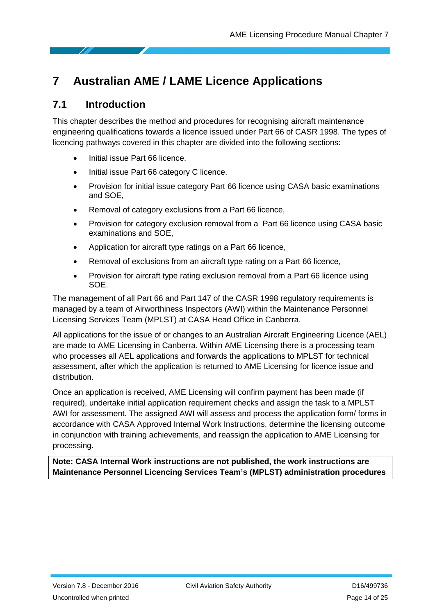## <span id="page-13-0"></span>**7 Australian AME / LAME Licence Applications**

#### <span id="page-13-1"></span>**7.1 Introduction**

This chapter describes the method and procedures for recognising aircraft maintenance engineering qualifications towards a licence issued under Part 66 of CASR 1998. The types of licencing pathways covered in this chapter are divided into the following sections:

- Initial issue Part 66 licence.
- Initial issue Part 66 category C licence.
- Provision for initial issue category Part 66 licence using CASA basic examinations and SOE,
- Removal of category exclusions from a Part 66 licence,
- Provision for category exclusion removal from a Part 66 licence using CASA basic examinations and SOE,
- Application for aircraft type ratings on a Part 66 licence,
- Removal of exclusions from an aircraft type rating on a Part 66 licence,
- Provision for aircraft type rating exclusion removal from a Part 66 licence using SOE.

The management of all Part 66 and Part 147 of the CASR 1998 regulatory requirements is managed by a team of Airworthiness Inspectors (AWI) within the Maintenance Personnel Licensing Services Team (MPLST) at CASA Head Office in Canberra.

All applications for the issue of or changes to an Australian Aircraft Engineering Licence (AEL) are made to AME Licensing in Canberra. Within AME Licensing there is a processing team who processes all AEL applications and forwards the applications to MPLST for technical assessment, after which the application is returned to AME Licensing for licence issue and distribution.

Once an application is received, AME Licensing will confirm payment has been made (if required), undertake initial application requirement checks and assign the task to a MPLST AWI for assessment. The assigned AWI will assess and process the application form/ forms in accordance with CASA Approved Internal Work Instructions, determine the licensing outcome in conjunction with training achievements, and reassign the application to AME Licensing for processing.

**Note: CASA Internal Work instructions are not published, the work instructions are Maintenance Personnel Licencing Services Team's (MPLST) administration procedures**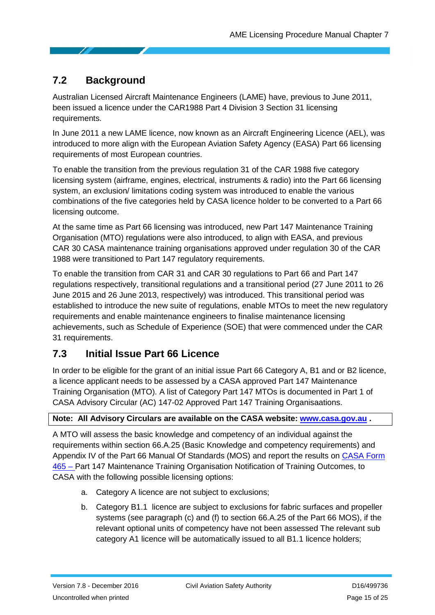## <span id="page-14-0"></span>**7.2 Background**

Australian Licensed Aircraft Maintenance Engineers (LAME) have, previous to June 2011, been issued a licence under the CAR1988 Part 4 Division 3 Section 31 licensing requirements.

In June 2011 a new LAME licence, now known as an Aircraft Engineering Licence (AEL), was introduced to more align with the European Aviation Safety Agency (EASA) Part 66 licensing requirements of most European countries.

To enable the transition from the previous regulation 31 of the CAR 1988 five category licensing system (airframe, engines, electrical, instruments & radio) into the Part 66 licensing system, an exclusion/ limitations coding system was introduced to enable the various combinations of the five categories held by CASA licence holder to be converted to a Part 66 licensing outcome.

At the same time as Part 66 licensing was introduced, new Part 147 Maintenance Training Organisation (MTO) regulations were also introduced, to align with EASA, and previous CAR 30 CASA maintenance training organisations approved under regulation 30 of the CAR 1988 were transitioned to Part 147 regulatory requirements.

To enable the transition from CAR 31 and CAR 30 regulations to Part 66 and Part 147 regulations respectively, transitional regulations and a transitional period (27 June 2011 to 26 June 2015 and 26 June 2013, respectively) was introduced. This transitional period was established to introduce the new suite of regulations, enable MTOs to meet the new regulatory requirements and enable maintenance engineers to finalise maintenance licensing achievements, such as Schedule of Experience (SOE) that were commenced under the CAR 31 requirements.

### <span id="page-14-1"></span>**7.3 Initial Issue Part 66 Licence**

In order to be eligible for the grant of an initial issue Part 66 Category A, B1 and or B2 licence, a licence applicant needs to be assessed by a CASA approved Part 147 Maintenance Training Organisation (MTO). A list of Category Part 147 MTOs is documented in Part 1 of CASA Advisory Circular (AC) 147-02 Approved Part 147 Training Organisaations.

#### **Note: All Advisory Circulars are available on the CASA website: [www.casa.gov.au](http://www.casa.gov.au/) .**

A MTO will assess the basic knowledge and competency of an individual against the requirements within section 66.A.25 (Basic Knowledge and competency requirements) and Appendix IV of the Part 66 Manual Of Standards (MOS) and report the results on [CASA Form](https://www.casa.gov.au/files/form465pdf)  [465](https://www.casa.gov.au/files/form465pdf) – Part 147 Maintenance Training Organisation Notification of Training Outcomes, to CASA with the following possible licensing options:

- a. Category A licence are not subject to exclusions;
- b. Category B1.1 licence are subject to exclusions for fabric surfaces and propeller systems (see paragraph (c) and (f) to section 66.A.25 of the Part 66 MOS), if the relevant optional units of competency have not been assessed The relevant sub category A1 licence will be automatically issued to all B1.1 licence holders;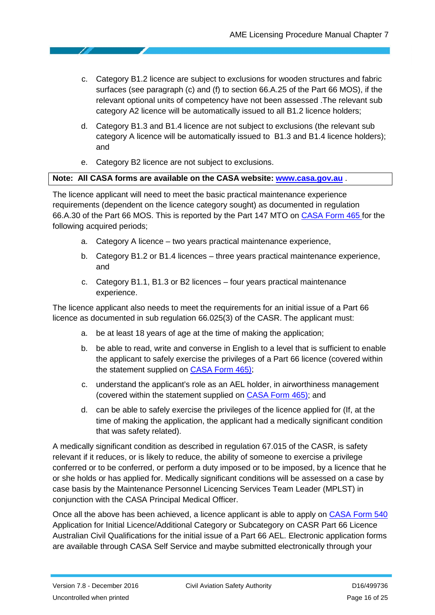- c. Category B1.2 licence are subject to exclusions for wooden structures and fabric surfaces (see paragraph (c) and (f) to section 66.A.25 of the Part 66 MOS), if the relevant optional units of competency have not been assessed .The relevant sub category A2 licence will be automatically issued to all B1.2 licence holders;
- d. Category B1.3 and B1.4 licence are not subject to exclusions (the relevant sub category A licence will be automatically issued to B1.3 and B1.4 licence holders); and
- e. Category B2 licence are not subject to exclusions.

#### **Note: All CASA forms are available on the CASA website: [www.casa.gov.au](http://www.casa.gov.au/)** .

The licence applicant will need to meet the basic practical maintenance experience requirements (dependent on the licence category sought) as documented in regulation 66.A.30 of the Part 66 MOS. This is reported by the Part 147 MTO on [CASA Form 465](https://www.casa.gov.au/files/form465pdf) for the following acquired periods;

- a. Category A licence two years practical maintenance experience,
- b. Category B1.2 or B1.4 licences three years practical maintenance experience, and
- c. Category B1.1, B1.3 or B2 licences four years practical maintenance experience.

The licence applicant also needs to meet the requirements for an initial issue of a Part 66 licence as documented in sub regulation 66.025(3) of the CASR. The applicant must:

- a. be at least 18 years of age at the time of making the application;
- b. be able to read, write and converse in English to a level that is sufficient to enable the applicant to safely exercise the privileges of a Part 66 licence (covered within the statement supplied on **CASA Form 465**);
- c. understand the applicant's role as an AEL holder, in airworthiness management (covered within the statement supplied on [CASA Form 465\)](https://www.casa.gov.au/files/form465pdf); and
- d. can be able to safely exercise the privileges of the licence applied for (If, at the time of making the application, the applicant had a medically significant condition that was safety related).

A medically significant condition as described in regulation 67.015 of the CASR, is safety relevant if it reduces, or is likely to reduce, the ability of someone to exercise a privilege conferred or to be conferred, or perform a duty imposed or to be imposed, by a licence that he or she holds or has applied for. Medically significant conditions will be assessed on a case by case basis by the Maintenance Personnel Licencing Services Team Leader (MPLST) in conjunction with the CASA Principal Medical Officer.

Once all the above has been achieved, a licence applicant is able to apply on [CASA Form 540](https://www.casa.gov.au/files/form540pdf) Application for Initial Licence/Additional Category or Subcategory on CASR Part 66 Licence Australian Civil Qualifications for the initial issue of a Part 66 AEL. Electronic application forms are available through CASA Self Service and maybe submitted electronically through your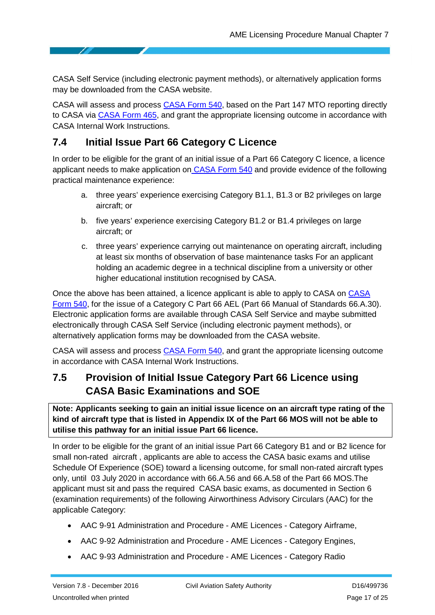CASA Self Service (including electronic payment methods), or alternatively application forms may be downloaded from the CASA website.

CASA will assess and process [CASA Form 540,](https://www.casa.gov.au/files/form540pdf) based on the Part 147 MTO reporting directly to CASA via [CASA Form 465,](https://www.casa.gov.au/files/form465pdf) and grant the appropriate licensing outcome in accordance with CASA Internal Work Instructions.

### <span id="page-16-0"></span>**7.4 Initial Issue Part 66 Category C Licence**

In order to be eligible for the grant of an initial issue of a Part 66 Category C licence, a licence applicant needs to make application on **[CASA Form 540](https://www.casa.gov.au/files/form540pdf)** and provide evidence of the following practical maintenance experience:

- a. three years' experience exercising Category B1.1, B1.3 or B2 privileges on large aircraft; or
- b. five years' experience exercising Category B1.2 or B1.4 privileges on large aircraft; or
- c. three years' experience carrying out maintenance on operating aircraft, including at least six months of observation of base maintenance tasks For an applicant holding an academic degree in a technical discipline from a university or other higher educational institution recognised by CASA.

Once the above has been attained, a licence applicant is able to apply to CASA on [CASA](https://www.casa.gov.au/files/form540pdf)  [Form 540,](https://www.casa.gov.au/files/form540pdf) for the issue of a Category C Part 66 AEL (Part 66 Manual of Standards 66.A.30). Electronic application forms are available through CASA Self Service and maybe submitted electronically through CASA Self Service (including electronic payment methods), or alternatively application forms may be downloaded from the CASA website.

CASA will assess and process [CASA Form 540,](https://www.casa.gov.au/files/form540pdf) and grant the appropriate licensing outcome in accordance with CASA Internal Work Instructions.

## <span id="page-16-1"></span>**7.5 Provision of Initial Issue Category Part 66 Licence using CASA Basic Examinations and SOE**

**Note: Applicants seeking to gain an initial issue licence on an aircraft type rating of the kind of aircraft type that is listed in Appendix IX of the Part 66 MOS will not be able to utilise this pathway for an initial issue Part 66 licence.**

In order to be eligible for the grant of an initial issue Part 66 Category B1 and or B2 licence for small non-rated aircraft , applicants are able to access the CASA basic exams and utilise Schedule Of Experience (SOE) toward a licensing outcome, for small non-rated aircraft types only, until 03 July 2020 in accordance with 66.A.56 and 66.A.58 of the Part 66 MOS.The applicant must sit and pass the required CASA basic exams, as documented in Section 6 (examination requirements) of the following Airworthiness Advisory Circulars (AAC) for the applicable Category:

- AAC 9-91 Administration and Procedure AME Licences Category Airframe,
- AAC 9-92 Administration and Procedure AME Licences Category Engines,
- AAC 9-93 Administration and Procedure AME Licences Category Radio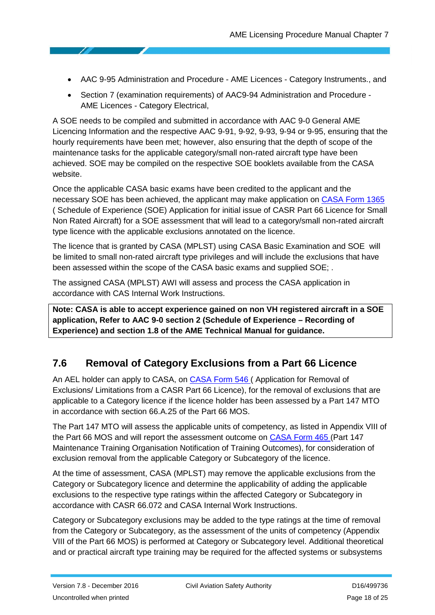- AAC 9-95 Administration and Procedure AME Licences Category Instruments., and
- Section 7 (examination requirements) of AAC9-94 Administration and Procedure AME Licences - Category Electrical,

A SOE needs to be compiled and submitted in accordance with AAC 9-0 General AME Licencing Information and the respective AAC 9-91, 9-92, 9-93, 9-94 or 9-95, ensuring that the hourly requirements have been met; however, also ensuring that the depth of scope of the maintenance tasks for the applicable category/small non-rated aircraft type have been achieved. SOE may be compiled on the respective SOE booklets available from the CASA website.

Once the applicable CASA basic exams have been credited to the applicant and the necessary SOE has been achieved, the applicant may make application on [CASA Form 1365](https://www.casa.gov.au/files/form1365pdf) ( [Schedule of Experience \(SOE\) Application for initial issue of CASR Part 66 Licence for Small](https://www.casa.gov.au/file/159241)  [Non Rated Aircraft\)](https://www.casa.gov.au/file/159241) for a SOE assessment that will lead to a category/small non-rated aircraft type licence with the applicable exclusions annotated on the licence.

The licence that is granted by CASA (MPLST) using CASA Basic Examination and SOE will be limited to small non-rated aircraft type privileges and will include the exclusions that have been assessed within the scope of the CASA basic exams and supplied SOE; .

The assigned CASA (MPLST) AWI will assess and process the CASA application in accordance with CAS Internal Work Instructions.

**Note: CASA is able to accept experience gained on non VH registered aircraft in a SOE application, Refer to AAC 9-0 section 2 (Schedule of Experience – Recording of Experience) and section 1.8 of the AME Technical Manual for guidance.**

#### <span id="page-17-0"></span>**7.6 Removal of Category Exclusions from a Part 66 Licence**

An AEL holder can apply to CASA, on [CASA Form 546](https://www.casa.gov.au/files/form546pdf) ( [Application for Removal of](https://www.casa.gov.au/files/form546pdf)  [Exclusions/ Limitations from a CASR Part 66 Licence\)](https://www.casa.gov.au/files/form546pdf), for the removal of exclusions that are applicable to a Category licence if the licence holder has been assessed by a Part 147 MTO in accordance with section 66.A.25 of the Part 66 MOS.

The Part 147 MTO will assess the applicable units of competency, as listed in Appendix VIII of the Part 66 MOS and will report the assessment outcome on [CASA Form 465](https://www.casa.gov.au/files/form465pdf) [\(Part 147](https://www.casa.gov.au/file/136591)  [Maintenance Training Organisation Notification of Training Outcomes\)](https://www.casa.gov.au/file/136591), for consideration of exclusion removal from the applicable Category or Subcategory of the licence.

At the time of assessment, CASA (MPLST) may remove the applicable exclusions from the Category or Subcategory licence and determine the applicability of adding the applicable exclusions to the respective type ratings within the affected Category or Subcategory in accordance with CASR 66.072 and CASA Internal Work Instructions.

Category or Subcategory exclusions may be added to the type ratings at the time of removal from the Category or Subcategory, as the assessment of the units of competency (Appendix VIII of the Part 66 MOS) is performed at Category or Subcategory level. Additional theoretical and or practical aircraft type training may be required for the affected systems or subsystems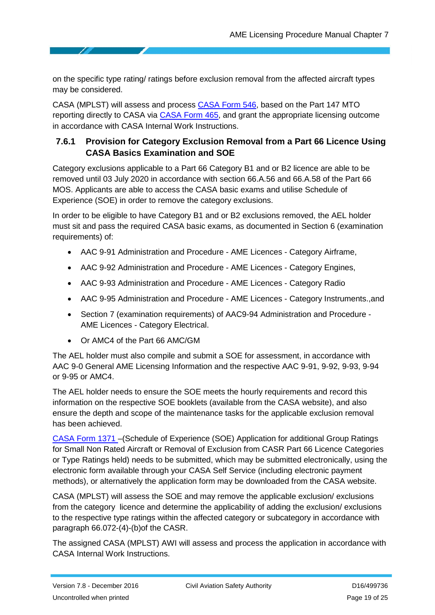on the specific type rating/ ratings before exclusion removal from the affected aircraft types may be considered.

CASA (MPLST) will assess and process [CASA Form 546,](https://www.casa.gov.au/files/form546pdf) based on the Part 147 MTO reporting directly to CASA via **CASA Form 465**, and grant the appropriate licensing outcome in accordance with CASA Internal Work Instructions.

#### <span id="page-18-0"></span>**7.6.1 Provision for Category Exclusion Removal from a Part 66 Licence Using CASA Basics Examination and SOE**

Category exclusions applicable to a Part 66 Category B1 and or B2 licence are able to be removed until 03 July 2020 in accordance with section 66.A.56 and 66.A.58 of the Part 66 MOS. Applicants are able to access the CASA basic exams and utilise Schedule of Experience (SOE) in order to remove the category exclusions.

In order to be eligible to have Category B1 and or B2 exclusions removed, the AEL holder must sit and pass the required CASA basic exams, as documented in Section 6 (examination requirements) of:

- AAC 9-91 Administration and Procedure AME Licences Category Airframe,
- AAC 9-92 Administration and Procedure AME Licences Category Engines,
- AAC 9-93 Administration and Procedure AME Licences Category Radio
- AAC 9-95 Administration and Procedure AME Licences Category Instruments.,and
- Section 7 (examination requirements) of AAC9-94 Administration and Procedure AME Licences - Category Electrical.
- Or AMC4 of the Part 66 AMC/GM

The AEL holder must also compile and submit a SOE for assessment, in accordance with AAC 9-0 General AME Licensing Information and the respective AAC 9-91, 9-92, 9-93, 9-94 or 9-95 or AMC4.

The AEL holder needs to ensure the SOE meets the hourly requirements and record this information on the respective SOE booklets (available from the CASA website), and also ensure the depth and scope of the maintenance tasks for the applicable exclusion removal has been achieved.

[CASA Form 1371](https://www.casa.gov.au/files/form1371pdf) –[\(Schedule of Experience \(SOE\) Application for additional Group Ratings](https://www.casa.gov.au/file/159246)  [for Small Non Rated Aircraft or Removal of Exclusion from CASR Part 66 Licence Categories](https://www.casa.gov.au/file/159246)  [or Type Ratings held\)](https://www.casa.gov.au/file/159246) needs to be submitted, which may be submitted electronically, using the electronic form available through your CASA Self Service (including electronic payment methods), or alternatively the application form may be downloaded from the CASA website.

CASA (MPLST) will assess the SOE and may remove the applicable exclusion/ exclusions from the category licence and determine the applicability of adding the exclusion/ exclusions to the respective type ratings within the affected category or subcategory in accordance with paragraph 66.072-(4)-(b)of the CASR.

The assigned CASA (MPLST) AWI will assess and process the application in accordance with CASA Internal Work Instructions.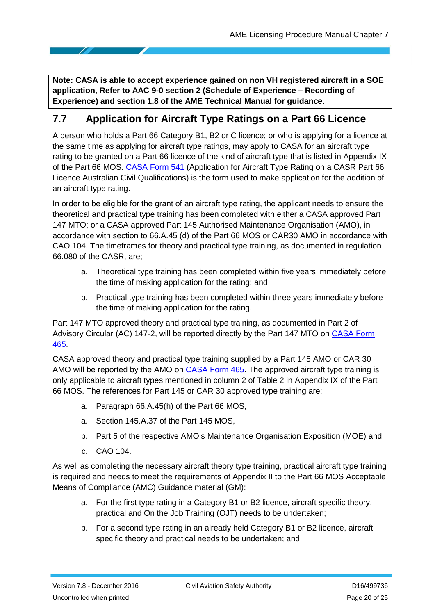**Note: CASA is able to accept experience gained on non VH registered aircraft in a SOE application, Refer to AAC 9-0 section 2 (Schedule of Experience – Recording of Experience) and section 1.8 of the AME Technical Manual for guidance.**

### <span id="page-19-0"></span>**7.7 Application for Aircraft Type Ratings on a Part 66 Licence**

A person who holds a Part 66 Category B1, B2 or C licence; or who is applying for a licence at the same time as applying for aircraft type ratings, may apply to CASA for an aircraft type rating to be granted on a Part 66 licence of the kind of aircraft type that is listed in Appendix IX of the Part 66 MOS. [CASA Form](https://www.casa.gov.au/files/form541pdf) 541 [\(Application for Aircraft Type Rating on a CASR Part 66](https://www.casa.gov.au/files/form541pdf)  [Licence Australian Civil Qualifications\)](https://www.casa.gov.au/files/form541pdf) is the form used to make application for the addition of an aircraft type rating.

In order to be eligible for the grant of an aircraft type rating, the applicant needs to ensure the theoretical and practical type training has been completed with either a CASA approved Part 147 MTO; or a CASA approved Part 145 Authorised Maintenance Organisation (AMO), in accordance with section to 66.A.45 (d) of the Part 66 MOS or CAR30 AMO in accordance with CAO 104. The timeframes for theory and practical type training, as documented in regulation 66.080 of the CASR, are;

- a. Theoretical type training has been completed within five years immediately before the time of making application for the rating; and
- b. Practical type training has been completed within three years immediately before the time of making application for the rating.

Part 147 MTO approved theory and practical type training, as documented in Part 2 of Advisory Circular (AC) 147-2, will be reported directly by the Part 147 MTO on [CASA Form](https://www.casa.gov.au/files/form465pdf)  [465.](https://www.casa.gov.au/files/form465pdf)

CASA approved theory and practical type training supplied by a Part 145 AMO or CAR 30 AMO will be reported by the AMO on [CASA Form 465.](https://www.casa.gov.au/files/form465pdf) The approved aircraft type training is only applicable to aircraft types mentioned in column 2 of Table 2 in Appendix IX of the Part 66 MOS. The references for Part 145 or CAR 30 approved type training are;

- a. Paragraph 66.A.45(h) of the Part 66 MOS,
- a. Section 145.A.37 of the Part 145 MOS,
- b. Part 5 of the respective AMO's Maintenance Organisation Exposition (MOE) and
- c. CAO 104.

As well as completing the necessary aircraft theory type training, practical aircraft type training is required and needs to meet the requirements of Appendix II to the Part 66 MOS Acceptable Means of Compliance (AMC) Guidance material (GM):

- a. For the first type rating in a Category B1 or B2 licence, aircraft specific theory, practical and On the Job Training (OJT) needs to be undertaken;
- b. For a second type rating in an already held Category B1 or B2 licence, aircraft specific theory and practical needs to be undertaken; and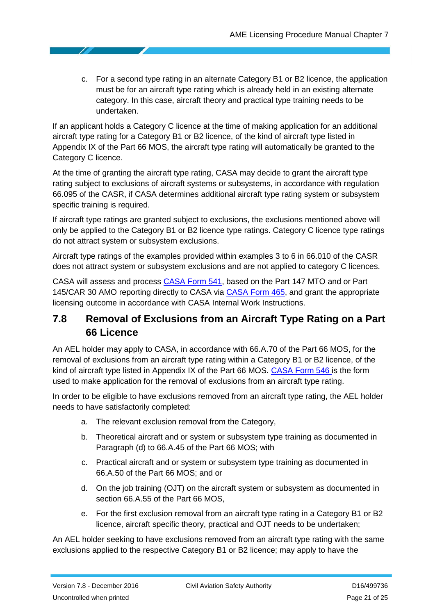c. For a second type rating in an alternate Category B1 or B2 licence, the application must be for an aircraft type rating which is already held in an existing alternate category. In this case, aircraft theory and practical type training needs to be undertaken.

If an applicant holds a Category C licence at the time of making application for an additional aircraft type rating for a Category B1 or B2 licence, of the kind of aircraft type listed in Appendix IX of the Part 66 MOS, the aircraft type rating will automatically be granted to the Category C licence.

At the time of granting the aircraft type rating, CASA may decide to grant the aircraft type rating subject to exclusions of aircraft systems or subsystems, in accordance with regulation 66.095 of the CASR, if CASA determines additional aircraft type rating system or subsystem specific training is required.

If aircraft type ratings are granted subject to exclusions, the exclusions mentioned above will only be applied to the Category B1 or B2 licence type ratings. Category C licence type ratings do not attract system or subsystem exclusions.

Aircraft type ratings of the examples provided within examples 3 to 6 in 66.010 of the CASR does not attract system or subsystem exclusions and are not applied to category C licences.

CASA will assess and process [CASA Form 541,](https://www.casa.gov.au/files/form541pdf) based on the Part 147 MTO and or Part 145/CAR 30 AMO reporting directly to CASA via [CASA Form 465,](https://www.casa.gov.au/files/form465pdf) and grant the appropriate licensing outcome in accordance with CASA Internal Work Instructions.

### <span id="page-20-0"></span>**7.8 Removal of Exclusions from an Aircraft Type Rating on a Part 66 Licence**

An AEL holder may apply to CASA, in accordance with 66.A.70 of the Part 66 MOS, for the removal of exclusions from an aircraft type rating within a Category B1 or B2 licence, of the kind of aircraft type listed in Appendix IX of the Part 66 MOS. [CASA Form 546 i](https://www.casa.gov.au/files/form546pdf)s the form used to make application for the removal of exclusions from an aircraft type rating.

In order to be eligible to have exclusions removed from an aircraft type rating, the AEL holder needs to have satisfactorily completed:

- a. The relevant exclusion removal from the Category,
- b. Theoretical aircraft and or system or subsystem type training as documented in Paragraph (d) to 66.A.45 of the Part 66 MOS; with
- c. Practical aircraft and or system or subsystem type training as documented in 66.A.50 of the Part 66 MOS; and or
- d. On the job training (OJT) on the aircraft system or subsystem as documented in section 66.A.55 of the Part 66 MOS,
- e. For the first exclusion removal from an aircraft type rating in a Category B1 or B2 licence, aircraft specific theory, practical and OJT needs to be undertaken;

An AEL holder seeking to have exclusions removed from an aircraft type rating with the same exclusions applied to the respective Category B1 or B2 licence; may apply to have the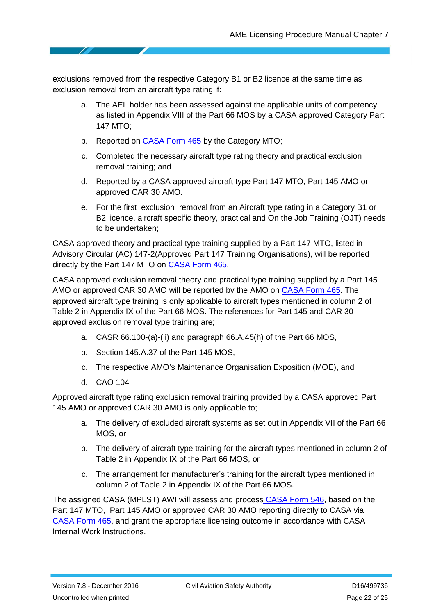exclusions removed from the respective Category B1 or B2 licence at the same time as exclusion removal from an aircraft type rating if:

- a. The AEL holder has been assessed against the applicable units of competency, as listed in Appendix VIII of the Part 66 MOS by a CASA approved Category Part 147 MTO;
- b. Reported on [CASA Form 465](https://www.casa.gov.au/files/form465pdf) by the Category MTO;
- c. Completed the necessary aircraft type rating theory and practical exclusion removal training; and
- d. Reported by a CASA approved aircraft type Part 147 MTO, Part 145 AMO or approved CAR 30 AMO.
- e. For the first exclusion removal from an Aircraft type rating in a Category B1 or B2 licence, aircraft specific theory, practical and On the Job Training (OJT) needs to be undertaken;

CASA approved theory and practical type training supplied by a Part 147 MTO, listed in Advisory Circular (AC) 147-2(Approved Part 147 Training Organisations), will be reported directly by the Part 147 MTO on [CASA Form 465.](https://www.casa.gov.au/files/form465pdf)

CASA approved exclusion removal theory and practical type training supplied by a Part 145 AMO or approved CAR 30 AMO will be reported by the AMO on [CASA Form 465.](https://www.casa.gov.au/files/form465pdf) The approved aircraft type training is only applicable to aircraft types mentioned in column 2 of Table 2 in Appendix IX of the Part 66 MOS. The references for Part 145 and CAR 30 approved exclusion removal type training are;

- a. CASR 66.100-(a)-(ii) and paragraph 66.A.45(h) of the Part 66 MOS,
- b. Section 145.A.37 of the Part 145 MOS,
- c. The respective AMO's Maintenance Organisation Exposition (MOE), and
- d. CAO 104

Approved aircraft type rating exclusion removal training provided by a CASA approved Part 145 AMO or approved CAR 30 AMO is only applicable to;

- a. The delivery of excluded aircraft systems as set out in Appendix VII of the Part 66 MOS, or
- b. The delivery of aircraft type training for the aircraft types mentioned in column 2 of Table 2 in Appendix IX of the Part 66 MOS, or
- c. The arrangement for manufacturer's training for the aircraft types mentioned in column 2 of Table 2 in Appendix IX of the Part 66 MOS.

The assigned CASA (MPLST) AWI will assess and process [CASA Form 546,](https://www.casa.gov.au/files/form546pdf) based on the Part 147 MTO, Part 145 AMO or approved CAR 30 AMO reporting directly to CASA via [CASA Form 465,](https://www.casa.gov.au/files/form465pdf) and grant the appropriate licensing outcome in accordance with CASA Internal Work Instructions.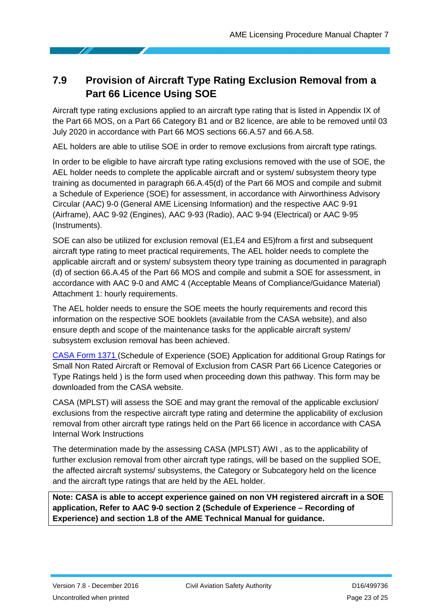### <span id="page-22-0"></span>**7.9 Provision of Aircraft Type Rating Exclusion Removal from a Part 66 Licence Using SOE**

Aircraft type rating exclusions applied to an aircraft type rating that is listed in Appendix IX of the Part 66 MOS, on a Part 66 Category B1 and or B2 licence, are able to be removed until 03 July 2020 in accordance with Part 66 MOS sections 66.A.57 and 66.A.58.

AEL holders are able to utilise SOE in order to remove exclusions from aircraft type ratings.

In order to be eligible to have aircraft type rating exclusions removed with the use of SOE, the AEL holder needs to complete the applicable aircraft and or system/ subsystem theory type training as documented in paragraph 66.A.45(d) of the Part 66 MOS and compile and submit a Schedule of Experience (SOE) for assessment, in accordance with Airworthiness Advisory Circular (AAC) 9-0 (General AME Licensing Information) and the respective AAC 9-91 (Airframe), AAC 9-92 (Engines), AAC 9-93 (Radio), AAC 9-94 (Electrical) or AAC 9-95 (Instruments).

SOE can also be utilized for exclusion removal (E1,E4 and E5)from a first and subsequent aircraft type rating to meet practical requirements, The AEL holder needs to complete the applicable aircraft and or system/ subsystem theory type training as documented in paragraph (d) of section 66.A.45 of the Part 66 MOS and compile and submit a SOE for assessment, in accordance with AAC 9-0 and AMC 4 (Acceptable Means of Compliance/Guidance Material) Attachment 1: hourly requirements.

The AEL holder needs to ensure the SOE meets the hourly requirements and record this information on the respective SOE booklets (available from the CASA website), and also ensure depth and scope of the maintenance tasks for the applicable aircraft system/ subsystem exclusion removal has been achieved.

[CASA Form 1371](https://www.casa.gov.au/files/form1371pdf) [\(Schedule of Experience \(SOE\) Application for additional Group Ratings for](https://www.casa.gov.au/file/159246)  [Small Non Rated Aircraft or Removal of Exclusion from CASR Part 66 Licence Categories or](https://www.casa.gov.au/file/159246)  [Type Ratings held](https://www.casa.gov.au/file/159246) ) is the form used when proceeding down this pathway. This form may be downloaded from the CASA website.

CASA (MPLST) will assess the SOE and may grant the removal of the applicable exclusion/ exclusions from the respective aircraft type rating and determine the applicability of exclusion removal from other aircraft type ratings held on the Part 66 licence in accordance with CASA Internal Work Instructions

The determination made by the assessing CASA (MPLST) AWI , as to the applicability of further exclusion removal from other aircraft type ratings, will be based on the supplied SOE, the affected aircraft systems/ subsystems, the Category or Subcategory held on the licence and the aircraft type ratings that are held by the AEL holder.

**Note: CASA is able to accept experience gained on non VH registered aircraft in a SOE application, Refer to AAC 9-0 section 2 (Schedule of Experience – Recording of Experience) and section 1.8 of the AME Technical Manual for guidance.**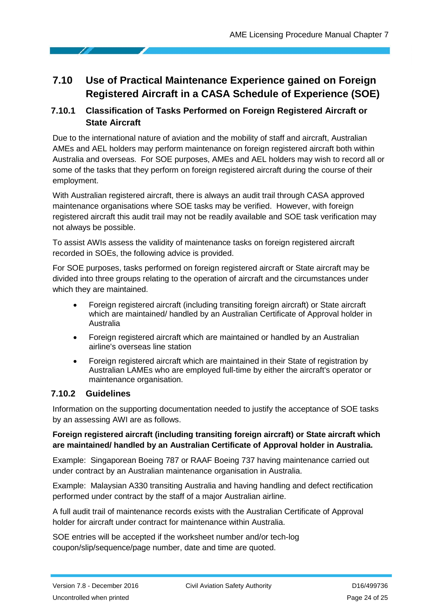## <span id="page-23-0"></span>**7.10 Use of Practical Maintenance Experience gained on Foreign Registered Aircraft in a CASA Schedule of Experience (SOE)**

#### <span id="page-23-1"></span>**7.10.1 Classification of Tasks Performed on Foreign Registered Aircraft or State Aircraft**

Due to the international nature of aviation and the mobility of staff and aircraft, Australian AMEs and AEL holders may perform maintenance on foreign registered aircraft both within Australia and overseas. For SOE purposes, AMEs and AEL holders may wish to record all or some of the tasks that they perform on foreign registered aircraft during the course of their employment.

With Australian registered aircraft, there is always an audit trail through CASA approved maintenance organisations where SOE tasks may be verified. However, with foreign registered aircraft this audit trail may not be readily available and SOE task verification may not always be possible.

To assist AWIs assess the validity of maintenance tasks on foreign registered aircraft recorded in SOEs, the following advice is provided.

For SOE purposes, tasks performed on foreign registered aircraft or State aircraft may be divided into three groups relating to the operation of aircraft and the circumstances under which they are maintained.

- Foreign registered aircraft (including transiting foreign aircraft) or State aircraft which are maintained/ handled by an Australian Certificate of Approval holder in Australia
- Foreign registered aircraft which are maintained or handled by an Australian airline's overseas line station
- Foreign registered aircraft which are maintained in their State of registration by Australian LAMEs who are employed full-time by either the aircraft's operator or maintenance organisation.

#### <span id="page-23-2"></span>**7.10.2 Guidelines**

Information on the supporting documentation needed to justify the acceptance of SOE tasks by an assessing AWI are as follows.

#### **Foreign registered aircraft (including transiting foreign aircraft) or State aircraft which are maintained/ handled by an Australian Certificate of Approval holder in Australia.**

Example: Singaporean Boeing 787 or RAAF Boeing 737 having maintenance carried out under contract by an Australian maintenance organisation in Australia.

Example: Malaysian A330 transiting Australia and having handling and defect rectification performed under contract by the staff of a major Australian airline.

A full audit trail of maintenance records exists with the Australian Certificate of Approval holder for aircraft under contract for maintenance within Australia.

SOE entries will be accepted if the worksheet number and/or tech-log coupon/slip/sequence/page number, date and time are quoted.